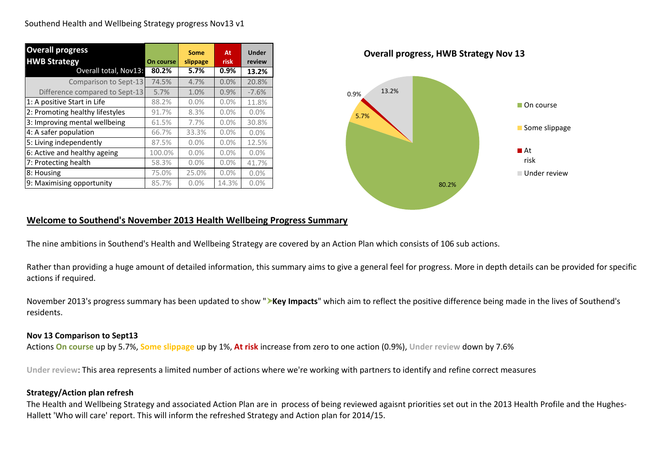| <b>Overall progress</b><br><b>HWB Strategy</b> | On course | Some<br>slippage | At<br>risk | <b>Under</b><br>review |
|------------------------------------------------|-----------|------------------|------------|------------------------|
| Overall total, Nov13:                          | 80.2%     | 5.7%             | $0.9\%$    | 13.2%                  |
| Comparison to Sept-13                          | 74.5%     | 4.7%             | 0.0%       | 20.8%                  |
| Difference compared to Sept-13                 | 5.7%      | 1.0%             | 0.9%       | $-7.6%$                |
| 1: A positive Start in Life                    | 88.2%     | 0.0%             | 0.0%       | 11.8%                  |
| 2: Promoting healthy lifestyles                | 91.7%     | 8.3%             | 0.0%       | 0.0%                   |
| 3: Improving mental wellbeing                  | 61.5%     | 7.7%             | 0.0%       | 30.8%                  |
| 4: A safer population                          | 66.7%     | 33.3%            | 0.0%       | 0.0%                   |
| 5: Living independently                        | 87.5%     | 0.0%             | 0.0%       | 12.5%                  |
| 6: Active and healthy ageing                   | 100.0%    | 0.0%             | 0.0%       | 0.0%                   |
| 7: Protecting health                           | 58.3%     | 0.0%             | 0.0%       | 41.7%                  |
| 8: Housing                                     | 75.0%     | 25.0%            | 0.0%       | 0.0%                   |
| 9: Maximising opportunity                      | 85.7%     | 0.0%             | 14.3%      | 0.0%                   |



#### **Welcome to Southend's November 2013 Health Wellbeing Progress Summary**

The nine ambitions in Southend's Health and Wellbeing Strategy are covered by an Action Plan which consists of 106 sub actions.

Rather than providing a huge amount of detailed information, this summary aims to give a general feel for progress. More in depth details can be provided for specific actions if required.

November 2013's progress summary has been updated to show "**Xey Impacts**" which aim to reflect the positive difference being made in the lives of Southend's residents.

#### **Nov 13 Comparison to Sept13**

Actions **On course** up by 5.7%, **Some slippage** up by 1%, **At risk** increase from zero to one action (0.9%), **Under review** down by 7.6%

**Under review**: This area represents a limited number of actions where we're working with partners to identify and refine correct measures

#### **Strategy/Action plan refresh**

The Health and Wellbeing Strategy and associated Action Plan are in process of being reviewed agaisnt priorities set out in the 2013 Health Profile and the Hughes-Hallett 'Who will care' report. This will inform the refreshed Strategy and Action plan for 2014/15.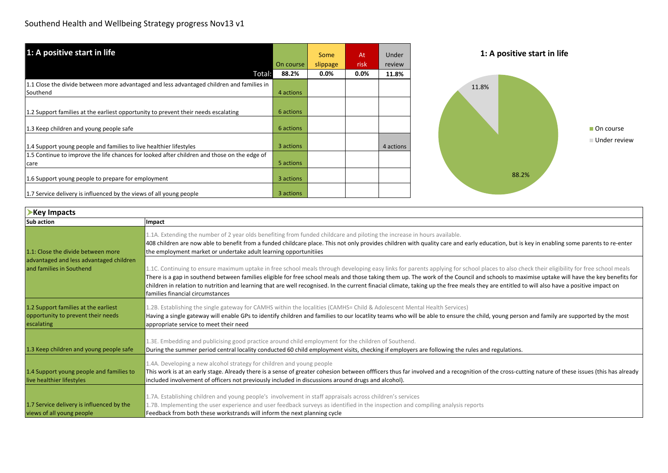| 1: A positive start in life                                                                 | On course | Some<br>slippage | At<br>risk | Under<br>review | 1: A positive start in life |
|---------------------------------------------------------------------------------------------|-----------|------------------|------------|-----------------|-----------------------------|
| Total:                                                                                      | 88.2%     | $0.0\%$          | $0.0\%$    | 11.8%           |                             |
| 1.1 Close the divide between more advantaged and less advantaged children and families in   |           |                  |            |                 | 11.8%                       |
| Southend                                                                                    | 4 actions |                  |            |                 |                             |
| 1.2 Support families at the earliest opportunity to prevent their needs escalating          | 6 actions |                  |            |                 |                             |
| 1.3 Keep children and young people safe                                                     | 6 actions |                  |            |                 | On course                   |
| 1.4 Support young people and families to live healthier lifestyles                          | 3 actions |                  |            | 4 actions       | ■ Under review              |
| 1.5 Continue to improve the life chances for looked after children and those on the edge of |           |                  |            |                 |                             |
| care                                                                                        | 5 actions |                  |            |                 |                             |
| 1.6 Support young people to prepare for employment                                          | 3 actions |                  |            |                 | 88.2%                       |
| 1.7 Service delivery is influenced by the views of all young people                         | 3 actions |                  |            |                 |                             |

| Key Impacts                                                                              |                                                                                                                                                                                                                                                                                                                                                                                                                                                                                                                                                                                                                             |
|------------------------------------------------------------------------------------------|-----------------------------------------------------------------------------------------------------------------------------------------------------------------------------------------------------------------------------------------------------------------------------------------------------------------------------------------------------------------------------------------------------------------------------------------------------------------------------------------------------------------------------------------------------------------------------------------------------------------------------|
| <b>Sub action</b>                                                                        | Impact                                                                                                                                                                                                                                                                                                                                                                                                                                                                                                                                                                                                                      |
| 1.1: Close the divide between more                                                       | 1.1A. Extending the number of 2 year olds benefiting from funded childcare and piloting the increase in hours available.<br>408 children are now able to benefit from a funded childcare place. This not only provides children with quality care and early education, but is key in enabling some parents to re-enter<br>the employment market or undertake adult learning opportunitiies                                                                                                                                                                                                                                  |
| advantaged and less advantaged children<br>land families in Southend                     | 1.1C. Continuing to ensure maximum uptake in free school meals through developing easy links for parents applying for school places to also check their eligibility for free school meals<br>There is a gap in southend between families eligible for free school meals and those taking them up. The work of the Council and schools to maximise uptake will have the key benefits for<br>children in relation to nutrition and learning that are well recognised. In the current finacial climate, taking up the free meals they are entitled to will also have a positive impact on<br>lfamilies financial circumstances |
| 1.2 Support families at the earliest<br>opportunity to prevent their needs<br>escalating | 1.2B. Establishing the single gateway for CAMHS within the localities (CAMHS= Child & Adolescent Mental Health Services)<br>Having a single gateway will enable GPs to identify children and families to our locatlity teams who will be able to ensure the child, young person and family are supported by the most<br>appropriate service to meet their need                                                                                                                                                                                                                                                              |
| 1.3 Keep children and young people safe                                                  | 1.3E. Embedding and publicising good practice around child employment for the children of Southend.<br>During the summer period central locality conducted 60 child employment visits, checking if employers are following the rules and regulations.                                                                                                                                                                                                                                                                                                                                                                       |
| 1.4 Support young people and families to<br>live healthier lifestyles                    | 1.4A. Developing a new alcohol strategy for children and young people<br>This work is at an early stage. Already there is a sense of greater cohesion between offficers thus far involved and a recognition of the cross-cutting nature of these issues (this has already<br>included involvement of officers not previously included in discussions around drugs and alcohol).                                                                                                                                                                                                                                             |
| 1.7 Service delivery is influenced by the<br>views of all young people                   | 1.7A. Establishing children and young people's involvement in staff appraisals across children's services<br>1.7B. Implementing the user experience and user feedback surveys as identified in the inspection and compiling analysis reports<br>Feedback from both these workstrands will inform the next planning cycle                                                                                                                                                                                                                                                                                                    |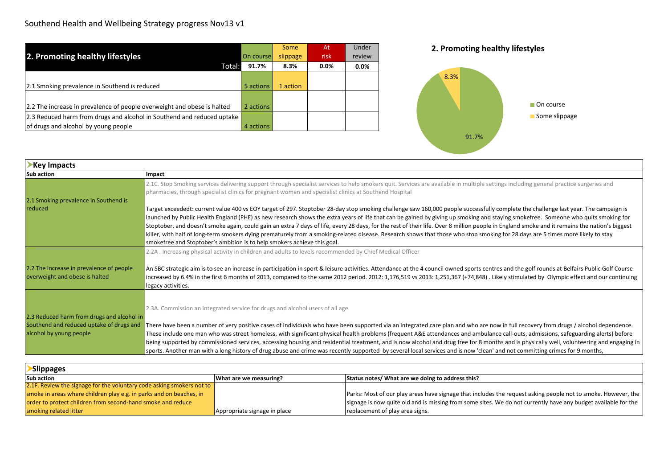|                                                                         |           | Some     | At   | Under   |
|-------------------------------------------------------------------------|-----------|----------|------|---------|
| 2. Promoting healthy lifestyles                                         | On course | slippage | risk | review  |
| Total:                                                                  | 91.7%     | 8.3%     | 0.0% | $0.0\%$ |
|                                                                         |           |          |      |         |
| 2.1 Smoking prevalence in Southend is reduced                           | 5 actions | 1 action |      |         |
|                                                                         |           |          |      |         |
| 2.2 The increase in prevalence of people overweight and obese is halted | 2 actions |          |      |         |
| [2.3 Reduced harm from drugs and alcohol in Southend and reduced uptake |           |          |      |         |
| of drugs and alcohol by young people                                    | 4 actions |          |      |         |





| Key Impacts                                                         |                                                                                                                                                                                                                                                                                                                                                                                                                                                                                                                                                                                                                                                                                                                                                         |
|---------------------------------------------------------------------|---------------------------------------------------------------------------------------------------------------------------------------------------------------------------------------------------------------------------------------------------------------------------------------------------------------------------------------------------------------------------------------------------------------------------------------------------------------------------------------------------------------------------------------------------------------------------------------------------------------------------------------------------------------------------------------------------------------------------------------------------------|
| <b>Sub action</b>                                                   | Impact                                                                                                                                                                                                                                                                                                                                                                                                                                                                                                                                                                                                                                                                                                                                                  |
|                                                                     | 2.1C. Stop Smoking services delivering support through specialist services to help smokers quit. Services are available in multiple settings including general practice surgeries and<br>pharmacies, through specialist clinics for pregnant women and specialist clinics at Southend Hospital                                                                                                                                                                                                                                                                                                                                                                                                                                                          |
| 2.1 Smoking prevalence in Southend is                               |                                                                                                                                                                                                                                                                                                                                                                                                                                                                                                                                                                                                                                                                                                                                                         |
| reduced                                                             | Target exceededt: current value 400 vs EOY target of 297. Stoptober 28-day stop smoking challenge saw 160,000 people successfully complete the challenge last year. The campaign is                                                                                                                                                                                                                                                                                                                                                                                                                                                                                                                                                                     |
|                                                                     | launched by Public Health England (PHE) as new research shows the extra years of life that can be gained by giving up smoking and staying smokefree. Someone who quits smoking for                                                                                                                                                                                                                                                                                                                                                                                                                                                                                                                                                                      |
|                                                                     | Stoptober, and doesn't smoke again, could gain an extra 7 days of life, every 28 days, for the rest of their life. Over 8 million people in England smoke and it remains the nation's biggest                                                                                                                                                                                                                                                                                                                                                                                                                                                                                                                                                           |
|                                                                     | killer, with half of long-term smokers dying prematurely from a smoking-related disease. Research shows that those who stop smoking for 28 days are 5 times more likely to stay                                                                                                                                                                                                                                                                                                                                                                                                                                                                                                                                                                         |
|                                                                     | smokefree and Stoptober's ambition is to help smokers achieve this goal.                                                                                                                                                                                                                                                                                                                                                                                                                                                                                                                                                                                                                                                                                |
|                                                                     | 2.2A . Increasing physical activity in children and adults to levels recommended by Chief Medical Officer                                                                                                                                                                                                                                                                                                                                                                                                                                                                                                                                                                                                                                               |
| 2.2 The increase in prevalence of people                            | An SBC strategic aim is to see an increase in participation in sport & leisure activities. Attendance at the 4 council owned sports centres and the golf rounds at Belfairs Public Golf Course                                                                                                                                                                                                                                                                                                                                                                                                                                                                                                                                                          |
| overweight and obese is halted                                      | increased by 6.4% in the first 6 months of 2013, compared to the same 2012 period. 2012: 1,176,519 vs 2013: 1,251,367 (+74,848). Likely stimulated by Olympic effect and our continuing                                                                                                                                                                                                                                                                                                                                                                                                                                                                                                                                                                 |
|                                                                     | legacy activities.                                                                                                                                                                                                                                                                                                                                                                                                                                                                                                                                                                                                                                                                                                                                      |
|                                                                     |                                                                                                                                                                                                                                                                                                                                                                                                                                                                                                                                                                                                                                                                                                                                                         |
|                                                                     | 2.3A. Commission an integrated service for drugs and alcohol users of all age                                                                                                                                                                                                                                                                                                                                                                                                                                                                                                                                                                                                                                                                           |
| 2.3 Reduced harm from drugs and alcohol in                          |                                                                                                                                                                                                                                                                                                                                                                                                                                                                                                                                                                                                                                                                                                                                                         |
|                                                                     |                                                                                                                                                                                                                                                                                                                                                                                                                                                                                                                                                                                                                                                                                                                                                         |
|                                                                     |                                                                                                                                                                                                                                                                                                                                                                                                                                                                                                                                                                                                                                                                                                                                                         |
|                                                                     |                                                                                                                                                                                                                                                                                                                                                                                                                                                                                                                                                                                                                                                                                                                                                         |
|                                                                     |                                                                                                                                                                                                                                                                                                                                                                                                                                                                                                                                                                                                                                                                                                                                                         |
| Southend and reduced uptake of drugs and<br>alcohol by young people | There have been a number of very positive cases of individuals who have been supported via an integrated care plan and who are now in full recovery from drugs / alcohol dependence.<br>These include one man who was street homeless, with significant physical health problems (frequent A&E attendances and ambulance call-outs, admissions, safeguarding alerts) before<br>being supported by commissioned services, accessing housing and residential treatment, and is now alcohol and drug free for 8 months and is physically well, volunteering and engaging in<br>sports. Another man with a long history of drug abuse and crime was recently supported by several local services and is now 'clean' and not committing crimes for 9 months, |

 $\overline{\phantom{0}}$ 

| <b>Slippages</b>                                                      |                              |                                                                                                                |  |  |  |  |  |
|-----------------------------------------------------------------------|------------------------------|----------------------------------------------------------------------------------------------------------------|--|--|--|--|--|
| <b>Sub action</b>                                                     | What are we measuring?       | Status notes/ What are we doing to address this?                                                               |  |  |  |  |  |
| 2.1F. Review the signage for the voluntary code asking smokers not to |                              |                                                                                                                |  |  |  |  |  |
| smoke in areas where children play e.g. in parks and on beaches, in   |                              | Parks: Most of our play areas have signage that includes the request asking people not to smoke. However, the  |  |  |  |  |  |
| order to protect children from second-hand smoke and reduce           |                              | signage is now quite old and is missing from some sites. We do not currently have any budget available for the |  |  |  |  |  |
| smoking related litter                                                | Appropriate signage in place | replacement of play area signs.                                                                                |  |  |  |  |  |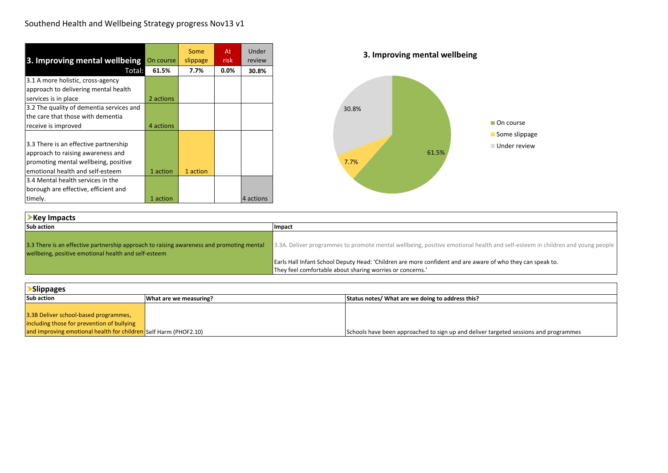| 3. Improving mental wellbeing On course  |           | Some<br>slippage | At<br>risk | Under<br>review |
|------------------------------------------|-----------|------------------|------------|-----------------|
| Total:                                   | 61.5%     | 7.7%             | $0.0\%$    | 30.8%           |
| 3.1 A more holistic, cross-agency        |           |                  |            |                 |
| approach to delivering mental health     |           |                  |            |                 |
| services is in place                     | 2 actions |                  |            |                 |
| 3.2 The quality of dementia services and |           |                  |            |                 |
| the care that those with dementia        |           |                  |            |                 |
| receive is improved                      | 4 actions |                  |            |                 |
|                                          |           |                  |            |                 |
| 3.3 There is an effective partnership    |           |                  |            |                 |
| approach to raising awareness and        |           |                  |            |                 |
| promoting mental wellbeing, positive     |           |                  |            |                 |
| emotional health and self-esteem         | 1 action  | 1 action         |            |                 |
| 3.4 Mental health services in the        |           |                  |            |                 |
| borough are effective, efficient and     |           |                  |            |                 |
| timely.                                  | 1 action  |                  |            | 4 actions       |

| Key Impacts                                                                                                                                      |                                                                                                                              |  |  |  |  |
|--------------------------------------------------------------------------------------------------------------------------------------------------|------------------------------------------------------------------------------------------------------------------------------|--|--|--|--|
| <b>Sub action</b>                                                                                                                                | Impact                                                                                                                       |  |  |  |  |
| 3.3 There is an effective partnership approach to raising awareness and promoting mental<br>wellbeing, positive emotional health and self-esteem | 3.3A. Deliver programmes to promote mental wellbeing, positive emotional health and self-esteem in children and young people |  |  |  |  |
|                                                                                                                                                  | Earls Hall Infant School Deputy Head: 'Children are more confident and are aware of who they can speak to.                   |  |  |  |  |
|                                                                                                                                                  | They feel comfortable about sharing worries or concerns.'                                                                    |  |  |  |  |

| <b>Slippages</b>                                                 |                        |                                                                                      |  |  |  |  |  |
|------------------------------------------------------------------|------------------------|--------------------------------------------------------------------------------------|--|--|--|--|--|
| <b>Sub action</b>                                                | What are we measuring? | Status notes/ What are we doing to address this?                                     |  |  |  |  |  |
|                                                                  |                        |                                                                                      |  |  |  |  |  |
| 3.3B Deliver school-based programmes,                            |                        |                                                                                      |  |  |  |  |  |
| including those for prevention of bullying                       |                        |                                                                                      |  |  |  |  |  |
| and improving emotional health for children Self Harm (PHOF2.10) |                        | Schools have been approached to sign up and deliver targeted sessions and programmes |  |  |  |  |  |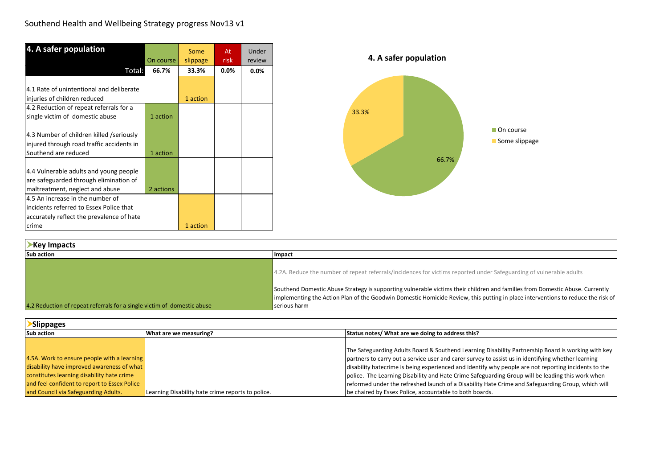| 4. A safer population                                                                                         |           | Some     | At      | Under   |
|---------------------------------------------------------------------------------------------------------------|-----------|----------|---------|---------|
|                                                                                                               | On course | slippage | risk    | review  |
| Total:                                                                                                        | 66.7%     | 33.3%    | $0.0\%$ | $0.0\%$ |
|                                                                                                               |           |          |         |         |
| 4.1 Rate of unintentional and deliberate                                                                      |           |          |         |         |
| injuries of children reduced                                                                                  |           | 1 action |         |         |
| 4.2 Reduction of repeat referrals for a                                                                       |           |          |         |         |
| single victim of domestic abuse                                                                               | 1 action  |          |         |         |
| 4.3 Number of children killed /seriously<br>injured through road traffic accidents in<br>Southend are reduced | 1 action  |          |         |         |
| 4.4 Vulnerable adults and young people<br>are safeguarded through elimination of                              |           |          |         |         |
| maltreatment, neglect and abuse                                                                               | 2 actions |          |         |         |
| 4.5 An increase in the number of                                                                              |           |          |         |         |
| incidents referred to Essex Police that                                                                       |           |          |         |         |
| accurately reflect the prevalence of hate                                                                     |           |          |         |         |
| crime                                                                                                         |           | 1 action |         |         |

| Key Impacts                                                             |                                                                                                                                                                                                                                                                                 |
|-------------------------------------------------------------------------|---------------------------------------------------------------------------------------------------------------------------------------------------------------------------------------------------------------------------------------------------------------------------------|
| <b>Sub action</b>                                                       | Impact                                                                                                                                                                                                                                                                          |
|                                                                         | 4.2A. Reduce the number of repeat referrals/incidences for victims reported under Safeguarding of vulnerable adults                                                                                                                                                             |
| 4.2 Reduction of repeat referrals for a single victim of domestic abuse | Southend Domestic Abuse Strategy is supporting vulnerable victims their children and families from Domestic Abuse. Currently<br>Implementing the Action Plan of the Goodwin Domestic Homicide Review, this putting in place interventions to reduce the risk of<br>serious harm |

| <b>Slippages</b>                             |                                                   |                                                                                                      |  |  |  |  |  |
|----------------------------------------------|---------------------------------------------------|------------------------------------------------------------------------------------------------------|--|--|--|--|--|
| <b>Sub action</b>                            | What are we measuring?                            | Status notes/ What are we doing to address this?                                                     |  |  |  |  |  |
|                                              |                                                   |                                                                                                      |  |  |  |  |  |
|                                              |                                                   | The Safeguarding Adults Board & Southend Learning Disability Partnership Board is working with key   |  |  |  |  |  |
| 4.5A. Work to ensure people with a learning  |                                                   | partners to carry out a service user and carer survey to assist us in identifying whether learning   |  |  |  |  |  |
| disability have improved awareness of what   |                                                   | disability hatecrime is being experienced and identify why people are not reporting incidents to the |  |  |  |  |  |
| constitutes learning disability hate crime   |                                                   | police. The Learning Disability and Hate Crime Safeguarding Group will be leading this work when     |  |  |  |  |  |
| and feel confident to report to Essex Police |                                                   | reformed under the refreshed launch of a Disability Hate Crime and Safeguarding Group, which will    |  |  |  |  |  |
| and Council via Safeguarding Adults.         | Learning Disability hate crime reports to police. | be chaired by Essex Police, accountable to both boards.                                              |  |  |  |  |  |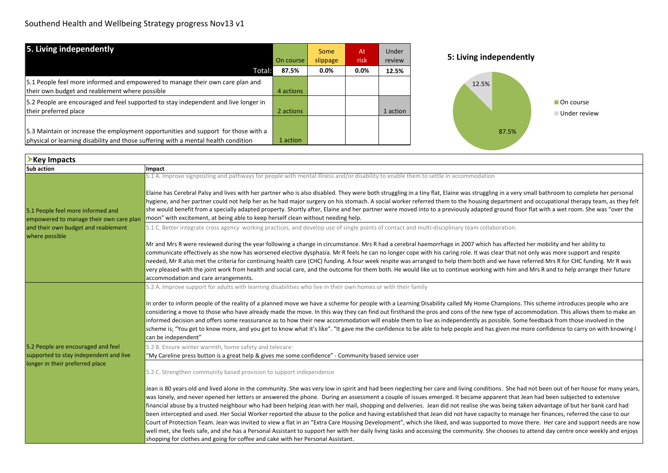| 5. Living independently                                                                                                                                                  | On course | Some<br>slippage | At<br><b>risk</b> | Under<br>review | 5: Living independently   |
|--------------------------------------------------------------------------------------------------------------------------------------------------------------------------|-----------|------------------|-------------------|-----------------|---------------------------|
| Total:                                                                                                                                                                   | 87.5%     | $0.0\%$          | 0.0%              | 12.5%           |                           |
| 5.1 People feel more informed and empowered to manage their own care plan and<br>their own budget and reablement where possible                                          | 4 actions |                  |                   |                 | 12.5%                     |
| 5.2 People are encouraged and feel supported to stay independent and live longer in<br>their preferred place                                                             | 2 actions |                  |                   | 1 action        | On course<br>Under review |
| 5.3 Maintain or increase the employment opportunities and support for those with a<br>physical or learning disability and those suffering with a mental health condition | 1 action  |                  |                   |                 | 87.5%                     |

| Key Impacts                                                                  |                                                                                                                                                                                                                                                                                                                                                                                                                                                                                                                                                                                                                                                                                                                                                                                                                                                                                                                                                                                                                                                                                                                                                                                                                                          |
|------------------------------------------------------------------------------|------------------------------------------------------------------------------------------------------------------------------------------------------------------------------------------------------------------------------------------------------------------------------------------------------------------------------------------------------------------------------------------------------------------------------------------------------------------------------------------------------------------------------------------------------------------------------------------------------------------------------------------------------------------------------------------------------------------------------------------------------------------------------------------------------------------------------------------------------------------------------------------------------------------------------------------------------------------------------------------------------------------------------------------------------------------------------------------------------------------------------------------------------------------------------------------------------------------------------------------|
| <b>Sub action</b>                                                            | Impact                                                                                                                                                                                                                                                                                                                                                                                                                                                                                                                                                                                                                                                                                                                                                                                                                                                                                                                                                                                                                                                                                                                                                                                                                                   |
| 5.1 People feel more informed and<br>empowered to manage their own care plan | 5.1 A. Improve signposting and pathways for people with mental illness and/or disability to enable them to settle in accommodation<br>Elaine has Cerebral Palsy and lives with her partner who is also disabled. They were both struggling in a tiny flat, Elaine was struggling in a very small bathroom to complete her personal<br>hygiene, and her partner could not help her as he had major surgery on his stomach. A social worker referred them to the housing department and occupational therapy team, as they felt<br>she would benefit from a specially adapted property. Shortly after, Elaine and her partner were moved into to a previously adapted ground floor flat with a wet room. She was "over the<br>moon" with excitement, at being able to keep herself clean without needing help.                                                                                                                                                                                                                                                                                                                                                                                                                             |
| and their own budget and reablement<br>where possible                        | 5.1 C. Better integrate cross agency working practices, and develop use of single points of contact and multi-disciplinary team collaboration.                                                                                                                                                                                                                                                                                                                                                                                                                                                                                                                                                                                                                                                                                                                                                                                                                                                                                                                                                                                                                                                                                           |
|                                                                              | Mr and Mrs R were reviewed during the year following a change in circumstance. Mrs R had a cerebral haemorrhage in 2007 which has affected her mobility and her ability to<br>communicate effectively as she now has worsened elective dysphasia. Mr R feels he can no longer cope with his caring role. It was clear that not only was more support and respite<br>needed, Mr R also met the criteria for continuing health care (CHC) funding. A four week respite was arranged to help them both and we have referred Mrs R for CHC funding. Mr R was<br>very pleased with the joint work from health and social care, and the outcome for them both. He would like us to continue working with him and Mrs R and to help arrange their future<br>accommodation and care arrangements.                                                                                                                                                                                                                                                                                                                                                                                                                                                |
|                                                                              | 5.2 A. Improve support for adults with learning disabilities who live in their own homes or with their family                                                                                                                                                                                                                                                                                                                                                                                                                                                                                                                                                                                                                                                                                                                                                                                                                                                                                                                                                                                                                                                                                                                            |
|                                                                              | In order to inform people of the reality of a planned move we have a scheme for people with a Learning Disability called My Home Champions. This scheme introduces people who are<br>considering a move to those who have already made the move. In this way they can find out firsthand the pros and cons of the new type of accommodation. This allows them to make an<br>informed decision and offers some reassurance as to how their new accommodation will enable them to live as independently as possible. Some feedback from those involved in the<br>scheme is; "You get to know more, and you get to know what it's like". "It gave me the confidence to be able to help people and has given me more confidence to carry on with knowing I<br>can be independent"                                                                                                                                                                                                                                                                                                                                                                                                                                                            |
| 5.2 People are encouraged and feel                                           | 5.2 B. Ensure winter warmth, home safety and telecare:                                                                                                                                                                                                                                                                                                                                                                                                                                                                                                                                                                                                                                                                                                                                                                                                                                                                                                                                                                                                                                                                                                                                                                                   |
| supported to stay independent and live                                       | "My Careline press button is a great help & gives me some confidence" - Community based service user                                                                                                                                                                                                                                                                                                                                                                                                                                                                                                                                                                                                                                                                                                                                                                                                                                                                                                                                                                                                                                                                                                                                     |
| longer in their preferred place                                              | 5.2 C. Strengthen community based provision to support independence                                                                                                                                                                                                                                                                                                                                                                                                                                                                                                                                                                                                                                                                                                                                                                                                                                                                                                                                                                                                                                                                                                                                                                      |
|                                                                              | Jean is 80 years old and lived alone in the community. She was very low in spirit and had been neglecting her care and living conditions. She had not been out of her house for many years,<br>was lonely, and never opened her letters or answered the phone. During an assessment a couple of issues emerged. It became apparent that Jean had been subjected to extensive<br>financial abuse by a trusted neighbour who had been helping Jean with her mail, shopping and deliveries. Jean did not realise she was being taken advantage of but her bank card had<br>been intercepted and used. Her Social Worker reported the abuse to the police and having established that Jean did not have capacity to manage her finances, referred the case to our<br>Court of Protection Team. Jean was invited to view a flat in an "Extra Care Housing Development", which she liked, and was supported to move there. Her care and support needs are now<br>well met, she feels safe, and she has a Personal Assistant to support her with her daily living tasks and accessing the community. She chooses to attend day centre once weekly and enjoys<br>shopping for clothes and going for coffee and cake with her Personal Assistant. |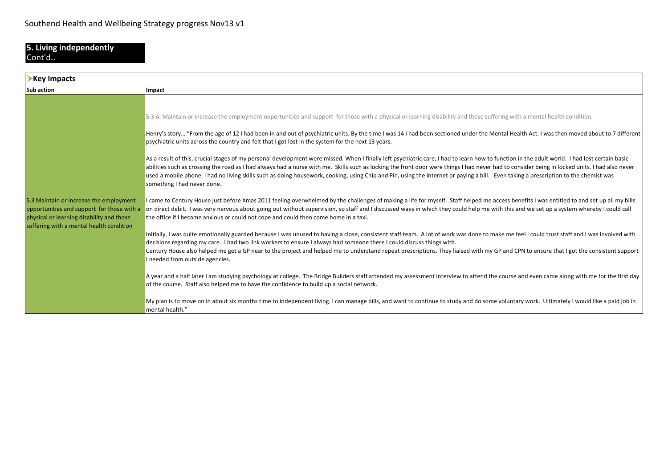#### **5. Living independently** Cont'd..

| Key Impacts                                                                                                                                                                    |                                                                                                                                                                                                                                                                                                                                                                                                                                                                                                                                                                                                                                                                                                                                                                                                                                                                                                                                                                                                                                                                                                                                                                                                                                                                                                                                                                                                                                                                                                                                                                                                                                                                                                                                                                                                                                                                                                                                                                                                                                                                                                                                                                                                                                                                                                                                                                                                                                                                                                                                                                                                                                                          |
|--------------------------------------------------------------------------------------------------------------------------------------------------------------------------------|----------------------------------------------------------------------------------------------------------------------------------------------------------------------------------------------------------------------------------------------------------------------------------------------------------------------------------------------------------------------------------------------------------------------------------------------------------------------------------------------------------------------------------------------------------------------------------------------------------------------------------------------------------------------------------------------------------------------------------------------------------------------------------------------------------------------------------------------------------------------------------------------------------------------------------------------------------------------------------------------------------------------------------------------------------------------------------------------------------------------------------------------------------------------------------------------------------------------------------------------------------------------------------------------------------------------------------------------------------------------------------------------------------------------------------------------------------------------------------------------------------------------------------------------------------------------------------------------------------------------------------------------------------------------------------------------------------------------------------------------------------------------------------------------------------------------------------------------------------------------------------------------------------------------------------------------------------------------------------------------------------------------------------------------------------------------------------------------------------------------------------------------------------------------------------------------------------------------------------------------------------------------------------------------------------------------------------------------------------------------------------------------------------------------------------------------------------------------------------------------------------------------------------------------------------------------------------------------------------------------------------------------------------|
| <b>Sub action</b>                                                                                                                                                              | Impact                                                                                                                                                                                                                                                                                                                                                                                                                                                                                                                                                                                                                                                                                                                                                                                                                                                                                                                                                                                                                                                                                                                                                                                                                                                                                                                                                                                                                                                                                                                                                                                                                                                                                                                                                                                                                                                                                                                                                                                                                                                                                                                                                                                                                                                                                                                                                                                                                                                                                                                                                                                                                                                   |
| 5.3 Maintain or increase the employment<br>opportunities and support for those with a<br>physical or learning disability and those<br>suffering with a mental health condition | 5.3 A. Maintain or increase the employment opportunities and support for those with a physical or learning disability and those suffering with a mental health condition.<br>Henry's story "From the age of 12 I had been in and out of psychiatric units. By the time I was 14 I had been sectioned under the Mental Health Act. I was then moved about to 7 different<br>psychiatric units across the country and felt that I got lost in the system for the next 13 years.<br>As a result of this, crucial stages of my personal development were missed. When I finally left psychiatric care, I had to learn how to function in the adult world. I had lost certain basic<br>abilities such as crossing the road as I had always had a nurse with me. Skills such as locking the front door were things I had never had to consider being in locked units. I had also never<br>used a mobile phone. I had no living skills such as doing housework, cooking, using Chip and Pin, using the internet or paying a bill. Even taking a prescription to the chemist was<br>something I had never done.<br>I came to Century House just before Xmas 2011 feeling overwhelmed by the challenges of making a life for myself. Staff helped me access benefits I was entitled to and set up all my bills<br>on direct debit. I was very nervous about going out without supervision, so staff and I discussed ways in which they could help me with this and we set up a system whereby I could call<br>the office if I became anxious or could not cope and could then come home in a taxi.<br>Initially, I was quite emotionally guarded because I was unused to having a close, consistent staff team. A lot of work was done to make me feel I could trust staff and I was involved with<br>decisions regarding my care. I had two link workers to ensure I always had someone there I could discuss things with.<br>Century House also helped me get a GP near to the project and helped me to understand repeat prescriptions. They liaised with my GP and CPN to ensure that I got the consistent support<br>needed from outside agencies.<br>A year and a half later I am studying psychology at college. The Bridge Builders staff attended my assessment interview to attend the course and even came along with me for the first day<br>of the course. Staff also helped me to have the confidence to build up a social network.<br>My plan is to move on in about six months time to independent living. I can manage bills, and want to continue to study and do some voluntary work. Ultimately I would like a paid job in<br>mental health." |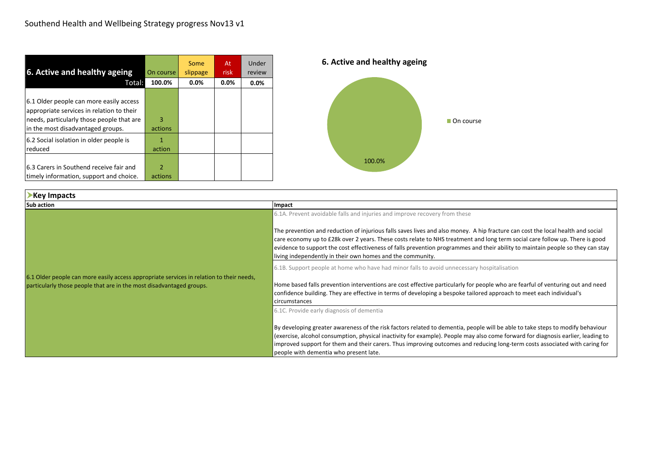| 6. Active and healthy ageing                                                                                                                                           | On course    | Some<br>slippage | At<br>risk | Under<br>review | 6. Active and |
|------------------------------------------------------------------------------------------------------------------------------------------------------------------------|--------------|------------------|------------|-----------------|---------------|
| Total:                                                                                                                                                                 | 100.0%       | $0.0\%$          | 0.0%       | 0.0%            |               |
| 6.1 Older people can more easily access<br>appropriate services in relation to their<br>needs, particularly those people that are<br>in the most disadvantaged groups. | 3<br>actions |                  |            |                 |               |
| 6.2 Social isolation in older people is<br>reduced                                                                                                                     | action       |                  |            |                 |               |
| 6.3 Carers in Southend receive fair and<br>timely information, support and choice.                                                                                     | 2<br>actions |                  |            |                 | 1             |



| Key Impacts                                                                                                                                                      |                                                                                                                                                                                                                                                                                                                                                                                                                                                                  |  |
|------------------------------------------------------------------------------------------------------------------------------------------------------------------|------------------------------------------------------------------------------------------------------------------------------------------------------------------------------------------------------------------------------------------------------------------------------------------------------------------------------------------------------------------------------------------------------------------------------------------------------------------|--|
| <b>Sub action</b>                                                                                                                                                | Impact                                                                                                                                                                                                                                                                                                                                                                                                                                                           |  |
|                                                                                                                                                                  | 6.1A. Prevent avoidable falls and injuries and improve recovery from these                                                                                                                                                                                                                                                                                                                                                                                       |  |
|                                                                                                                                                                  | The prevention and reduction of injurious falls saves lives and also money. A hip fracture can cost the local health and social<br>care economy up to £28k over 2 years. These costs relate to NHS treatment and long term social care follow up. There is good<br>evidence to support the cost effectiveness of falls prevention programmes and their ability to maintain people so they can stay<br>living independently in their own homes and the community. |  |
|                                                                                                                                                                  | 6.1B. Support people at home who have had minor falls to avoid unnecessary hospitalisation                                                                                                                                                                                                                                                                                                                                                                       |  |
| 6.1 Older people can more easily access appropriate services in relation to their needs,<br>particularly those people that are in the most disadvantaged groups. | Home based falls prevention interventions are cost effective particularly for people who are fearful of venturing out and need<br>confidence building. They are effective in terms of developing a bespoke tailored approach to meet each individual's<br>circumstances                                                                                                                                                                                          |  |
|                                                                                                                                                                  | 6.1C. Provide early diagnosis of dementia                                                                                                                                                                                                                                                                                                                                                                                                                        |  |
|                                                                                                                                                                  | By developing greater awareness of the risk factors related to dementia, people will be able to take steps to modify behaviour<br>(exercise, alcohol consumption, physical inactivity for example). People may also come forward for diagnosis earlier, leading to<br>improved support for them and their carers. Thus improving outcomes and reducing long-term costs associated with caring for<br>people with dementia who present late.                      |  |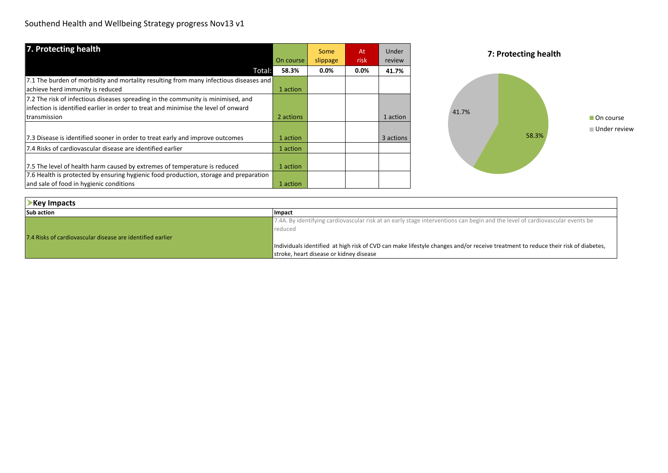| 7. Protecting health                                                                  |           | Some     | At      | Under     | 7: Protecting health |
|---------------------------------------------------------------------------------------|-----------|----------|---------|-----------|----------------------|
|                                                                                       | On course | slippage | risk    | review    |                      |
| Total:                                                                                | 58.3%     | $0.0\%$  | $0.0\%$ | 41.7%     |                      |
| 7.1 The burden of morbidity and mortality resulting from many infectious diseases and |           |          |         |           |                      |
| achieve herd immunity is reduced                                                      | 1 action  |          |         |           |                      |
| 7.2 The risk of infectious diseases spreading in the community is minimised, and      |           |          |         |           |                      |
| infection is identified earlier in order to treat and minimise the level of onward    |           |          |         |           | 41.7%                |
| transmission                                                                          | 2 actions |          |         | 1 action  | On course            |
|                                                                                       |           |          |         |           | ■ Under review       |
| 7.3 Disease is identified sooner in order to treat early and improve outcomes         | 1 action  |          |         | 3 actions | 58.3%                |
| 7.4 Risks of cardiovascular disease are identified earlier                            | 1 action  |          |         |           |                      |
|                                                                                       |           |          |         |           |                      |
| 7.5 The level of health harm caused by extremes of temperature is reduced             | 1 action  |          |         |           |                      |
| 7.6 Health is protected by ensuring hygienic food production, storage and preparation |           |          |         |           |                      |
| and sale of food in hygienic conditions                                               | 1 action  |          |         |           |                      |

| Key Impacts                                                |                                                                                                                                  |
|------------------------------------------------------------|----------------------------------------------------------------------------------------------------------------------------------|
| <b>Sub action</b>                                          | <b>Impact</b>                                                                                                                    |
|                                                            | 7.4A. By identifying cardiovascular risk at an early stage interventions can begin and the level of cardiovascular events be     |
|                                                            | reduced                                                                                                                          |
| 7.4 Risks of cardiovascular disease are identified earlier |                                                                                                                                  |
|                                                            | Individuals identified at high risk of CVD can make lifestyle changes and/or receive treatment to reduce their risk of diabetes, |
|                                                            | stroke, heart disease or kidney disease                                                                                          |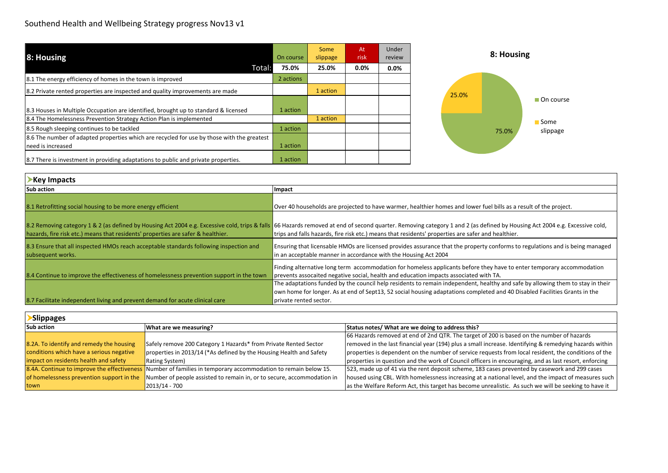| 8: Housing                                                                                 | On course | Some<br>slippage | At<br>risk | Under<br>review | 8: Housing        |
|--------------------------------------------------------------------------------------------|-----------|------------------|------------|-----------------|-------------------|
| Total:                                                                                     | 75.0%     | 25.0%            | $0.0\%$    | $0.0\%$         |                   |
| 8.1 The energy efficiency of homes in the town is improved                                 | 2 actions |                  |            |                 |                   |
| 8.2 Private rented properties are inspected and quality improvements are made              |           | 1 action         |            |                 | 25.0%             |
|                                                                                            |           |                  |            |                 | On course         |
| 8.3 Houses in Multiple Occupation are identified, brought up to standard & licensed        | 1 action  |                  |            |                 |                   |
| 8.4 The Homelessness Prevention Strategy Action Plan is implemented                        |           | 1 action         |            |                 | <b>Some</b>       |
| 8.5 Rough sleeping continues to be tackled                                                 | 1 action  |                  |            |                 | slippage<br>75.0% |
| 8.6 The number of adapted properties which are recycled for use by those with the greatest |           |                  |            |                 |                   |
| need is increased                                                                          | 1 action  |                  |            |                 |                   |
| 8.7 There is investment in providing adaptations to public and private properties.         | 1 action  |                  |            |                 |                   |

| Key Impacts                                                                                                 |                                                                                                                                                                                                                                                                                                                                  |
|-------------------------------------------------------------------------------------------------------------|----------------------------------------------------------------------------------------------------------------------------------------------------------------------------------------------------------------------------------------------------------------------------------------------------------------------------------|
| <b>Sub action</b>                                                                                           | Impact                                                                                                                                                                                                                                                                                                                           |
| 8.1 Retrofitting social housing to be more energy efficient                                                 | Over 40 households are projected to have warmer, healthier homes and lower fuel bills as a result of the project.                                                                                                                                                                                                                |
| hazards, fire risk etc.) means that residents' properties are safer & healthier.                            | 8.2 Removing category 1 & 2 (as defined by Housing Act 2004 e.g. Excessive cold, trips & falls 66 Hazards removed at end of second quarter. Removing category 1 and 2 (as defined by Housing Act 2004 e.g. Excessive cold,<br>trips and falls hazards, fire risk etc.) means that residents' properties are safer and healthier. |
| 8.3 Ensure that all inspected HMOs reach acceptable standards following inspection and<br>subsequent works. | <b>Ensuring that licensable HMOs are licensed provides assurance that the property conforms to regulations and is being managed</b><br>in an acceptable manner in accordance with the Housing Act 2004                                                                                                                           |
| 8.4 Continue to improve the effectiveness of homelessness prevention support in the town                    | Finding alternative long term accommodation for homeless applicants before they have to enter temporary accommodation<br>prevents assocaited negative social, health and education impacts associated with TA.                                                                                                                   |
|                                                                                                             | The adaptations funded by the council help residents to remain independent, healthy and safe by allowing them to stay in their<br>own home for longer. As at end of Sept13, 52 social housing adaptations completed and 40 Disabled Facilities Grants in the                                                                     |
| 8.7 Facilitate independent living and prevent demand for acute clinical care                                | private rented sector.                                                                                                                                                                                                                                                                                                           |

| <b>Slippages</b>                          |                                                                                                               |                                                                                                        |
|-------------------------------------------|---------------------------------------------------------------------------------------------------------------|--------------------------------------------------------------------------------------------------------|
| <b>Sub action</b>                         | What are we measuring?                                                                                        | Status notes/ What are we doing to address this?                                                       |
|                                           |                                                                                                               | 66 Hazards removed at end of 2nd QTR. The target of 200 is based on the number of hazards              |
| 8.2A. To identify and remedy the housing  | Safely remove 200 Category 1 Hazards* from Private Rented Sector                                              | removed in the last financial year (194) plus a small increase. Identifying & remedying hazards within |
| conditions which have a serious negative  | properties in 2013/14 (*As defined by the Housing Health and Safety                                           | properties is dependent on the number of service requests from local resident, the conditions of the   |
| impact on residents health and safety     | <b>Rating System</b> )                                                                                        | properties in question and the work of Council officers in encouraging, and as last resort, enforcing  |
|                                           | 8.4A. Continue to improve the effectiveness Number of families in temporary accommodation to remain below 15. | 523, made up of 41 via the rent deposit scheme, 183 cases prevented by casework and 299 cases          |
| of homelessness prevention support in the | Number of people assisted to remain in, or to secure, accommodation in                                        | housed using CBL. With homelessness increasing at a national level, and the impact of measures such    |
| town                                      | 2013/14 - 700                                                                                                 | as the Welfare Reform Act, this target has become unrealistic. As such we will be seeking to have it   |

٦